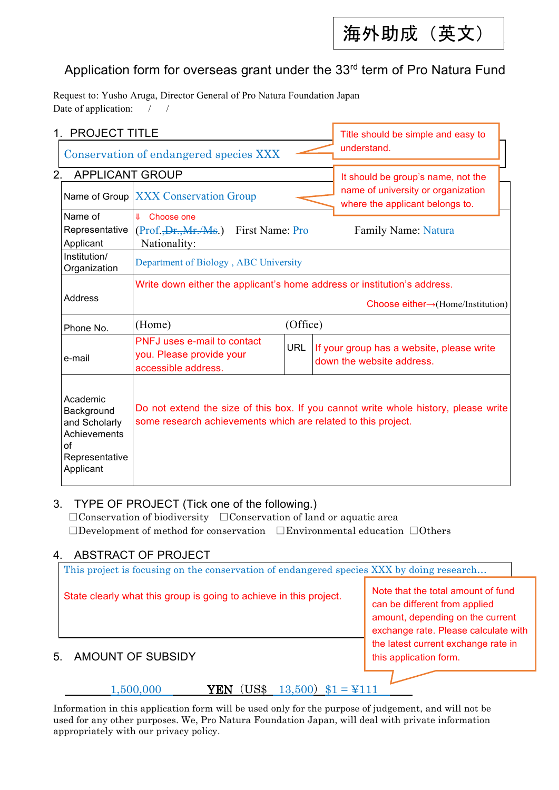海外助成(英文)

1

## Application form for overseas grant under the 33<sup>rd</sup> term of Pro Natura Fund

Request to: Yusho Aruga, Director General of Pro Natura Foundation Japan Date of application: / /

| 1. PROJECT TITLE                                                                             |                                                                                |                                       |            | Title should be simple and easy to<br>understand.                     |                                                                                                                                                      |  |  |
|----------------------------------------------------------------------------------------------|--------------------------------------------------------------------------------|---------------------------------------|------------|-----------------------------------------------------------------------|------------------------------------------------------------------------------------------------------------------------------------------------------|--|--|
| Conservation of endangered species XXX                                                       |                                                                                |                                       |            |                                                                       |                                                                                                                                                      |  |  |
| 2.                                                                                           | <b>APPLICANT GROUP</b>                                                         |                                       |            |                                                                       | It should be group's name, not the                                                                                                                   |  |  |
|                                                                                              | Name of Group XXX Conservation Group                                           |                                       |            | name of university or organization<br>where the applicant belongs to. |                                                                                                                                                      |  |  |
| Name of                                                                                      | <b>↓</b> Choose one                                                            |                                       |            |                                                                       |                                                                                                                                                      |  |  |
| Representative                                                                               |                                                                                | (Prof., Dr., Mr./Ms.) First Name: Pro |            |                                                                       | Family Name: Natura                                                                                                                                  |  |  |
| Applicant                                                                                    | Nationality:                                                                   |                                       |            |                                                                       |                                                                                                                                                      |  |  |
| Institution/<br>Organization                                                                 |                                                                                | Department of Biology, ABC University |            |                                                                       |                                                                                                                                                      |  |  |
|                                                                                              |                                                                                |                                       |            |                                                                       | Write down either the applicant's home address or institution's address.                                                                             |  |  |
| <b>Address</b>                                                                               |                                                                                |                                       |            |                                                                       | Choose either $\rightarrow$ (Home/Institution)                                                                                                       |  |  |
| Phone No.                                                                                    | (Home)                                                                         |                                       | (Office)   |                                                                       |                                                                                                                                                      |  |  |
| e-mail                                                                                       | PNFJ uses e-mail to contact<br>you. Please provide your<br>accessible address. |                                       | <b>URL</b> |                                                                       | If your group has a website, please write<br>down the website address.                                                                               |  |  |
| Academic<br>Background<br>and Scholarly<br>Achievements<br>οf<br>Representative<br>Applicant |                                                                                |                                       |            |                                                                       | Do not extend the size of this box. If you cannot write whole history, please write<br>some research achievements which are related to this project. |  |  |

### 3. TYPE OF PROJECT (Tick one of the following.)

□Conservation of biodiversity □Conservation of land or aquatic area □Development of method for conservation □Environmental education □Others

### 4. ABSTRACT OF PROJECT

This project is focusing on the conservation of endangered species XXX by doing research...

State clearly what this group is going to achieve in this project.

Note that the total amount of fund can be different from applied amount, depending on the current exchange rate. Please calculate with the latest current exchange rate in this application form.

### 5. AMOUNT OF SUBSIDY

1,500,000 **YEN** (US\$ 13,500) \$1 = ¥111

Information in this application form will be used only for the purpose of judgement, and will not be used for any other purposes. We, Pro Natura Foundation Japan, will deal with private information appropriately with our privacy policy.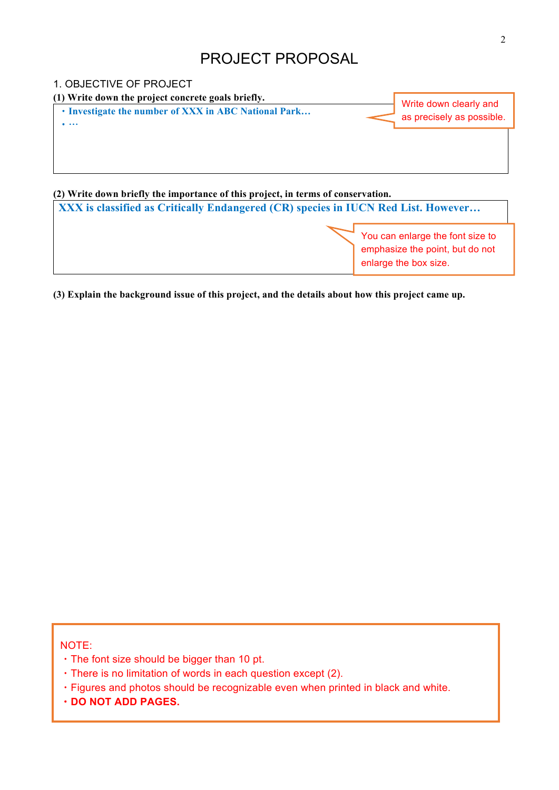# PROJECT PROPOSAL



**(3) Explain the background issue of this project, and the details about how this project came up.** 

NOTE:

- ・The font size should be bigger than 10 pt.
- ・There is no limitation of words in each question except (2).
- ・Figures and photos should be recognizable even when printed in black and white.
- ・**DO NOT ADD PAGES.**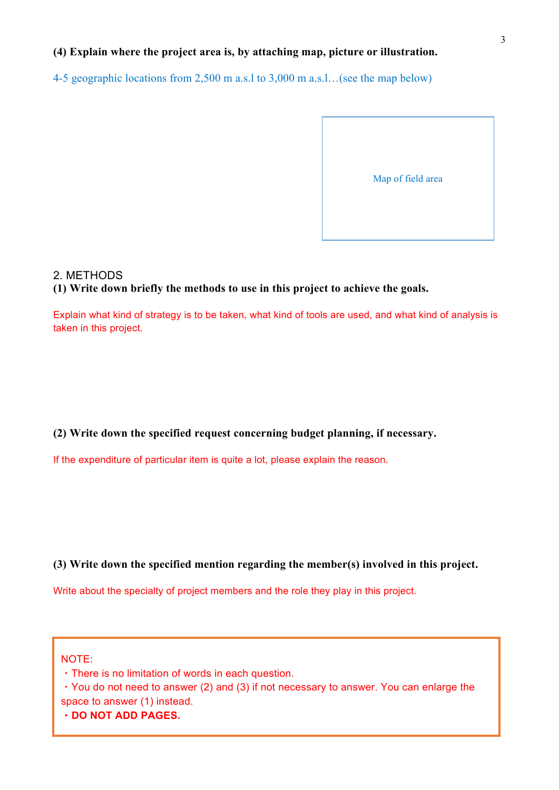### **(4) Explain where the project area is, by attaching map, picture or illustration.**

4-5 geographic locations from 2,500 m a.s.l to 3,000 m a.s.l…(see the map below)



### 2. METHODS **(1) Write down briefly the methods to use in this project to achieve the goals.**

Explain what kind of strategy is to be taken, what kind of tools are used, and what kind of analysis is taken in this project.

### **(2) Write down the specified request concerning budget planning, if necessary.**

If the expenditure of particular item is quite a lot, please explain the reason.

### **(3) Write down the specified mention regarding the member(s) involved in this project.**

Write about the specialty of project members and the role they play in this project.

NOTE:

・There is no limitation of words in each question.

・You do not need to answer (2) and (3) if not necessary to answer. You can enlarge the space to answer (1) instead.

・**DO NOT ADD PAGES.**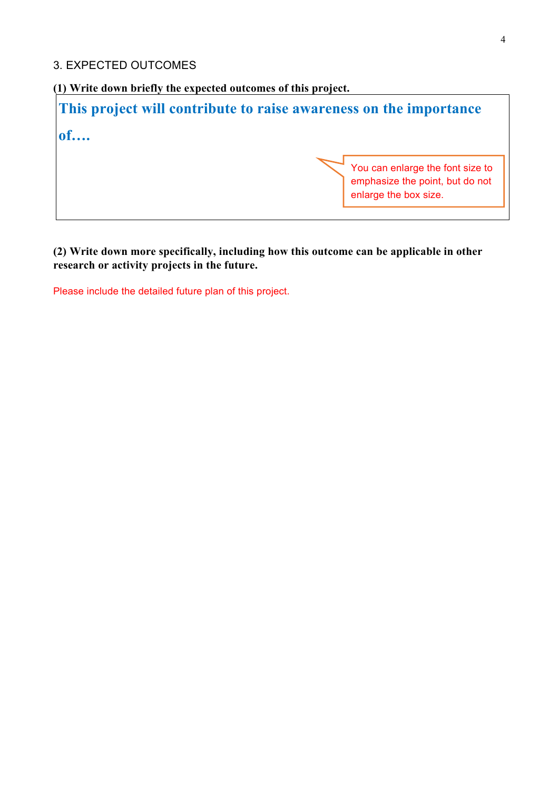### 3. EXPECTED OUTCOMES

**(1) Write down briefly the expected outcomes of this project.**

**This project will contribute to raise awareness on the importance of….**

> You can enlarge the font size to emphasize the point, but do not enlarge the box size.

**(2) Write down more specifically, including how this outcome can be applicable in other research or activity projects in the future.**

Please include the detailed future plan of this project.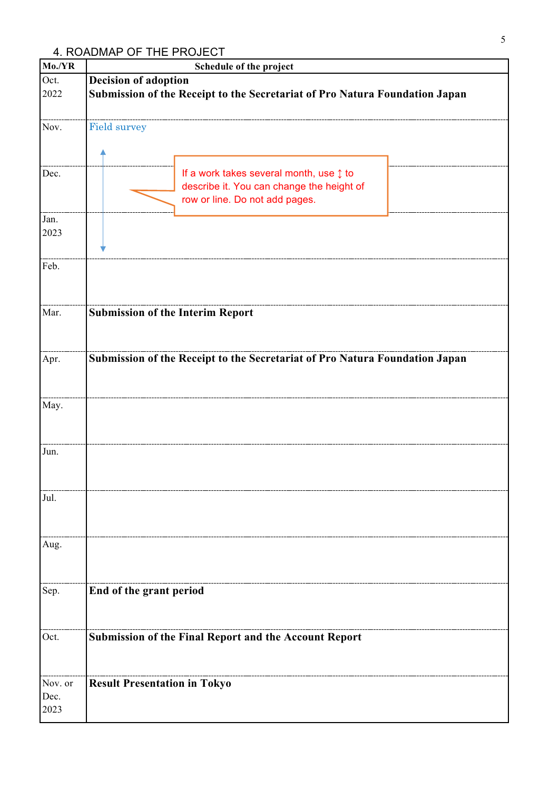## 4. ROADMAP OF THE PROJECT

| Mo./YR                  | Schedule of the project                                                                                                |
|-------------------------|------------------------------------------------------------------------------------------------------------------------|
| Oct.<br>2022            | <b>Decision of adoption</b><br>Submission of the Receipt to the Secretariat of Pro Natura Foundation Japan             |
| Nov.                    | <b>Field survey</b>                                                                                                    |
| Dec.                    | If a work takes several month, use 1 to<br>describe it. You can change the height of<br>row or line. Do not add pages. |
| Jan.<br>2023            |                                                                                                                        |
| Feb.                    |                                                                                                                        |
| Mar.                    | <b>Submission of the Interim Report</b>                                                                                |
| Apr.                    | Submission of the Receipt to the Secretariat of Pro Natura Foundation Japan                                            |
| May.                    |                                                                                                                        |
| Jun.                    |                                                                                                                        |
| Jul.                    |                                                                                                                        |
| Aug.                    |                                                                                                                        |
| Sep.                    | End of the grant period                                                                                                |
| Oct.                    | <b>Submission of the Final Report and the Account Report</b>                                                           |
| Nov. or<br>Dec.<br>2023 | <b>Result Presentation in Tokyo</b>                                                                                    |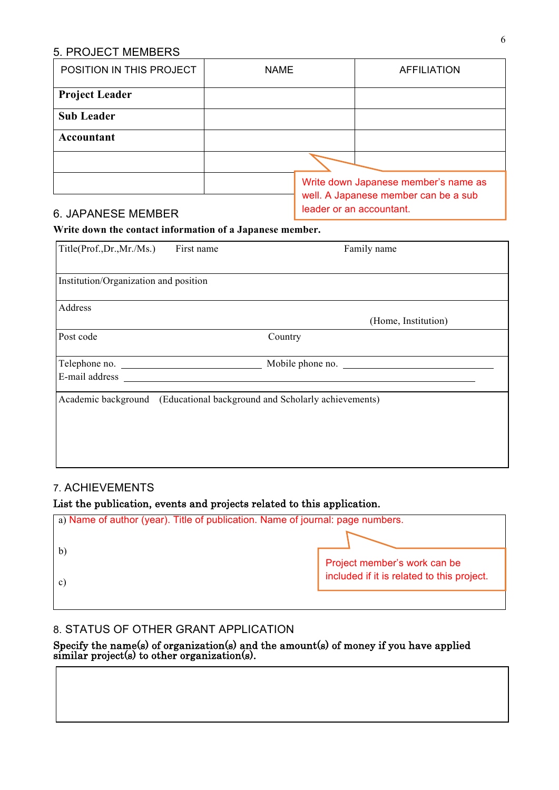### 5. PROJECT MEMBERS

| POSITION IN THIS PROJECT | <b>NAME</b> | <b>AFFILIATION</b>                                                           |  |  |
|--------------------------|-------------|------------------------------------------------------------------------------|--|--|
| <b>Project Leader</b>    |             |                                                                              |  |  |
| <b>Sub Leader</b>        |             |                                                                              |  |  |
| Accountant               |             |                                                                              |  |  |
|                          |             |                                                                              |  |  |
|                          |             | Write down Japanese member's name as<br>well. A Japanese member can be a sub |  |  |

### 6. JAPANESE MEMBER

| leader or an accountant.

### **Write down the contact information of a Japanese member.**

| Title(Prof.,Dr.,Mr./Ms.)              | First name | Family name                                                             |
|---------------------------------------|------------|-------------------------------------------------------------------------|
| Institution/Organization and position |            |                                                                         |
| Address                               |            | (Home, Institution)                                                     |
| Post code                             |            | Country                                                                 |
| Telephone no.<br>E-mail address       |            | Mobile phone no.                                                        |
|                                       |            | Academic background (Educational background and Scholarly achievements) |

### 7. ACHIEVEMENTS

|  |  |  | List the publication, events and projects related to this application. |  |  |
|--|--|--|------------------------------------------------------------------------|--|--|
|  |  |  |                                                                        |  |  |

| a) Name of author (year). Title of publication. Name of journal: page numbers. |                                            |
|--------------------------------------------------------------------------------|--------------------------------------------|
|                                                                                |                                            |
|                                                                                | Project member's work can be               |
| $\mathbf{c}$                                                                   | included if it is related to this project. |
|                                                                                |                                            |

### 8. STATUS OF OTHER GRANT APPLICATION

Specify the name(s) of organization(s) and the amount(s) of money if you have applied similar project(s) to other organization(s).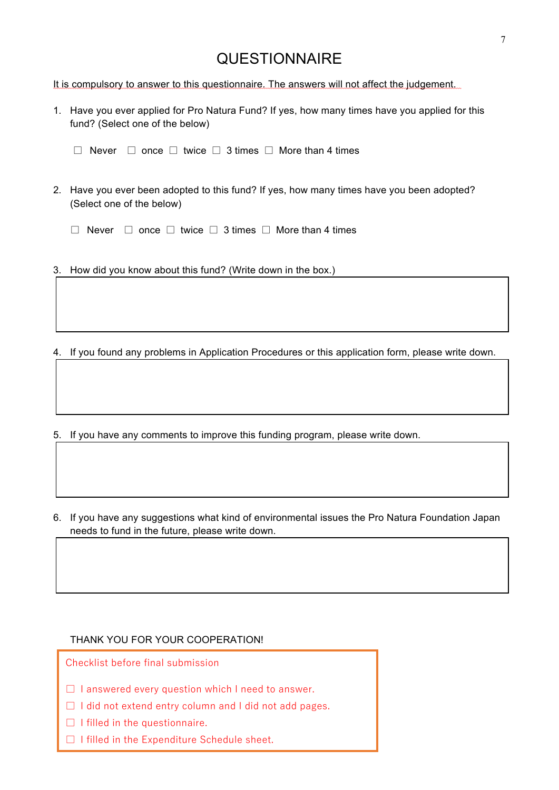## **QUESTIONNAIRE**

It is compulsory to answer to this questionnaire. The answers will not affect the judgement.

- 1. Have you ever applied for Pro Natura Fund? If yes, how many times have you applied for this fund? (Select one of the below)
	- □ Never □ once □ twice □ 3 times □ More than 4 times
- 2. Have you ever been adopted to this fund? If yes, how many times have you been adopted? (Select one of the below)
	- □ Never □ once □ twice □ 3 times □ More than 4 times
- 3. How did you know about this fund? (Write down in the box.)

4. If you found any problems in Application Procedures or this application form, please write down.

- 5. If you have any comments to improve this funding program, please write down.
- 6. If you have any suggestions what kind of environmental issues the Pro Natura Foundation Japan needs to fund in the future, please write down.

#### THANK YOU FOR YOUR COOPERATION!

Checklist before final submission

- $\Box$  I answered every question which I need to answer.
- □ I did not extend entry column and I did not add pages.
- □ I filled in the questionnaire.
- □ I filled in the Expenditure Schedule sheet.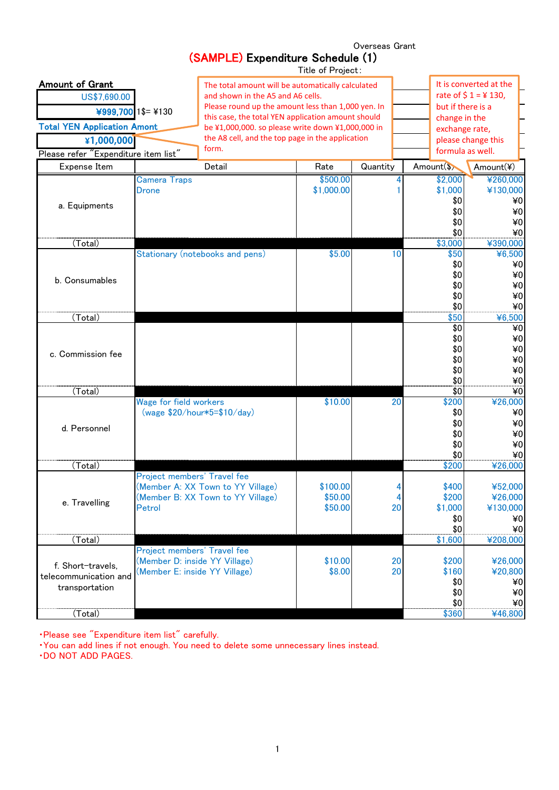|                                                                                                                                    |                                                                                               | (SAMPLE) Expenditure Schedule (1)                                                                                                                                                                                                                                                                                    | Title of Project:              |          |                                                |                                                                                                                                  |  |
|------------------------------------------------------------------------------------------------------------------------------------|-----------------------------------------------------------------------------------------------|----------------------------------------------------------------------------------------------------------------------------------------------------------------------------------------------------------------------------------------------------------------------------------------------------------------------|--------------------------------|----------|------------------------------------------------|----------------------------------------------------------------------------------------------------------------------------------|--|
| <b>Amount of Grant</b><br>US\$7,690.00<br><b>Total YEN Application Amont</b><br>¥1,000,000<br>Please refer "Expenditure item list" | ¥999,700 $1$ \$= ¥130                                                                         | The total amount will be automatically calculated<br>and shown in the A5 and A6 cells.<br>Please round up the amount less than 1,000 yen. In<br>this case, the total YEN application amount should<br>be ¥1,000,000. so please write down ¥1,000,000 in<br>the A8 cell, and the top page in the application<br>form. |                                |          | change in the                                  | It is converted at the<br>rate of $$1 = $130$ ,<br>but if there is a<br>exchange rate,<br>please change this<br>formula as well. |  |
| Expense Item                                                                                                                       |                                                                                               | Detail                                                                                                                                                                                                                                                                                                               | Rate                           | Quantity | Amount(\$)                                     | Amount(¥)                                                                                                                        |  |
| a. Equipments                                                                                                                      | <b>Camera Traps</b><br>Drone                                                                  |                                                                                                                                                                                                                                                                                                                      | \$500.00<br>\$1,000.00         |          | \$2,000<br>\$1,000<br>\$0<br>\$0<br>\$0<br>\$0 | ¥260,000<br>¥130,000<br>¥0<br>¥0<br>¥0<br>¥0                                                                                     |  |
| (Total)                                                                                                                            |                                                                                               |                                                                                                                                                                                                                                                                                                                      |                                |          | \$3,000                                        | ¥390,000                                                                                                                         |  |
| b. Consumables                                                                                                                     |                                                                                               | Stationary (notebooks and pens)                                                                                                                                                                                                                                                                                      | \$5.00                         | 10       | \$50<br>\$0<br>\$0<br>\$0<br>\$0<br>\$0        | ¥6,500<br>¥0<br>¥0<br>$*0$<br>¥0<br>¥0                                                                                           |  |
| (Total)                                                                                                                            |                                                                                               |                                                                                                                                                                                                                                                                                                                      |                                |          | \$50                                           | ¥6,500                                                                                                                           |  |
| c. Commission fee                                                                                                                  |                                                                                               |                                                                                                                                                                                                                                                                                                                      |                                |          | \$0<br>\$0<br>\$0<br>\$0<br>\$0<br>\$0         | ¥0<br>¥0<br>¥0<br>40<br>$*0$<br>$*0$                                                                                             |  |
| (Total)                                                                                                                            |                                                                                               |                                                                                                                                                                                                                                                                                                                      |                                |          | \$0                                            | ¥0                                                                                                                               |  |
| d. Personnel                                                                                                                       | <b>Wage for field workers</b><br>(wage \$20/hour*5=\$10/day)                                  |                                                                                                                                                                                                                                                                                                                      | \$10.00                        | 20       | \$200<br>\$0<br>\$0<br>\$0<br>\$0<br>\$0       | ¥26,000<br>¥0<br>¥0<br>¥0<br>¥0<br>¥0                                                                                            |  |
| (Total)                                                                                                                            |                                                                                               |                                                                                                                                                                                                                                                                                                                      |                                |          | \$200                                          | ¥26,000                                                                                                                          |  |
| e. Travelling                                                                                                                      | Project members' Travel fee<br>Petrol                                                         | (Member A: XX Town to YY Village)<br>(Member B: XX Town to YY Village)                                                                                                                                                                                                                                               | \$100.00<br>\$50.00<br>\$50.00 | 20       | \$400<br>\$200<br>\$1,000<br>\$0<br>\$0        | ¥52,000<br>¥26,000<br>¥130,000<br>¥0<br>¥0                                                                                       |  |
| (Total)                                                                                                                            |                                                                                               |                                                                                                                                                                                                                                                                                                                      |                                |          | \$1,600                                        | ¥208,000                                                                                                                         |  |
| f. Short-travels,<br>telecommunication and<br>transportation<br>(Total)                                                            | Project members' Travel fee<br>(Member D: inside YY Village)<br>(Member E: inside YY Village) |                                                                                                                                                                                                                                                                                                                      | \$10.00<br>\$8.00              | 20<br>20 | \$200<br>\$160<br>\$0<br>\$0<br>\$0<br>\$360   | ¥26,000<br>¥20,800<br>¥0<br>¥0<br>¥0<br>¥46,800                                                                                  |  |
|                                                                                                                                    |                                                                                               |                                                                                                                                                                                                                                                                                                                      |                                |          |                                                |                                                                                                                                  |  |

Overseas Grant

・Please see "Expenditure item list" carefully.

・You can add lines if not enough. You need to delete some unnecessary lines instead.

・DO NOT ADD PAGES.